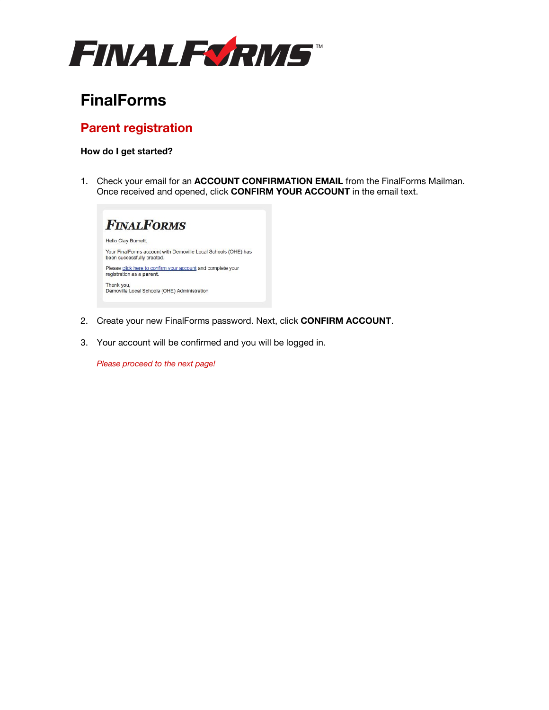

# **FinalForms**

## **Parent registration**

### **How do I get started?**

1. Check your email for an **ACCOUNT CONFIRMATION EMAIL** from the FinalForms Mailman. Once received and opened, click **CONFIRM YOUR ACCOUNT** in the email text.



- 2. Create your new FinalForms password. Next, click **CONFIRM ACCOUNT**.
- 3. Your account will be confirmed and you will be logged in.

*Please proceed to the next page!*